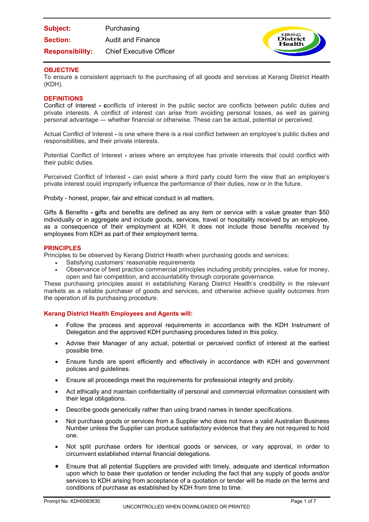| Subject:               | Purchasing                     |
|------------------------|--------------------------------|
| Section:               | Audit and Finance              |
| <b>Responsibility:</b> | <b>Chief Executive Officer</b> |



## **OBJECTIVE**

To ensure a consistent approach to the purchasing of all goods and services at Kerang District Health (KDH).

## **DEFINITIONS**

Conflict of Interest **- c**onflicts of interest in the public sector are conflicts between public duties and private interests. A conflict of interest can arise from avoiding personal losses, as well as gaining personal advantage — whether financial or otherwise. These can be actual, potential or perceived.

Actual Conflict of Interest **-** is one where there is a real conflict between an employee's public duties and responsibilities, and their private interests.

Potential Conflict of Interest **-** arises where an employee has private interests that could conflict with their public duties.

Perceived Conflict of Interest **-** can exist where a third party could form the view that an employee's private interest could improperly influence the performance of their duties, now or in the future.

Probity - honest, proper, fair and ethical conduct in all matters.

Gifts & Benefits **- g**ifts and benefits are defined as any item or service with a value greater than \$50 individually or in aggregate and include goods, services, travel or hospitality received by an employee, as a consequence of their employment at KDH. It does not include those benefits received by employees from KDH as part of their employment terms.

#### **PRINCIPLES**

Principles to be observed by Kerang District Health when purchasing goods and services:

- Satisfying customers' reasonable requirements
- Observance of best practice commercial principles including probity principles, value for money, open and fair competition, and accountability through corporate governance.

These purchasing principles assist in establishing Kerang District Health's credibility in the relevant markets as a reliable purchaser of goods and services, and otherwise achieve quality outcomes from the operation of its purchasing procedure.

#### **Kerang District Health Employees and Agents will:**

- Follow the process and approval requirements in accordance with the KDH Instrument of Delegation and the approved KDH purchasing procedures listed in this policy.
- Advise their Manager of any actual, potential or perceived conflict of interest at the earliest possible time.
- Ensure funds are spent efficiently and effectively in accordance with KDH and government policies and guidelines.
- Ensure all proceedings meet the requirements for professional integrity and probity.
- Act ethically and maintain confidentiality of personal and commercial information consistent with their legal obligations.
- Describe goods generically rather than using brand names in tender specifications.
- Not purchase goods or services from a Supplier who does not have a valid Australian Business Number unless the Supplier can produce satisfactory evidence that they are not required to hold one.
- Not split purchase orders for identical goods or services, or vary approval, in order to circumvent established internal financial delegations.
- Ensure that all potential Suppliers are provided with timely, adequate and identical information upon which to base their quotation or tender including the fact that any supply of goods and/or services to KDH arising from acceptance of a quotation or tender will be made on the terms and conditions of purchase as established by KDH from time to time.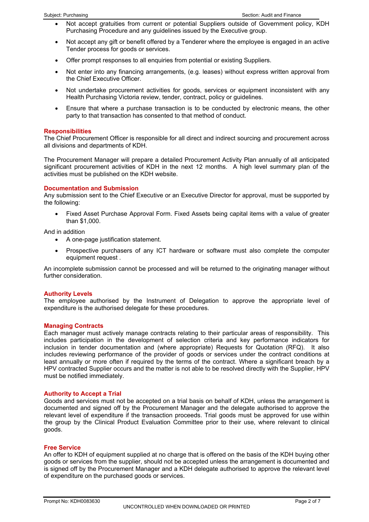- Not accept gratuities from current or potential Suppliers outside of Government policy, KDH Purchasing Procedure and any guidelines issued by the Executive group.
- Not accept any gift or benefit offered by a Tenderer where the employee is engaged in an active Tender process for goods or services.
- Offer prompt responses to all enquiries from potential or existing Suppliers.
- Not enter into any financing arrangements, (e.g. leases) without express written approval from the Chief Executive Officer.
- Not undertake procurement activities for goods, services or equipment inconsistent with any Health Purchasing Victoria review, tender, contract, policy or guidelines.
- Ensure that where a purchase transaction is to be conducted by electronic means, the other party to that transaction has consented to that method of conduct.

#### **Responsibilities**

The Chief Procurement Officer is responsible for all direct and indirect sourcing and procurement across all divisions and departments of KDH.

The Procurement Manager will prepare a detailed Procurement Activity Plan annually of all anticipated significant procurement activities of KDH in the next 12 months. A high level summary plan of the activities must be published on the KDH website.

## **Documentation and Submission**

Any submission sent to the Chief Executive or an Executive Director for approval, must be supported by the following:

 Fixed Asset Purchase Approval Form. Fixed Assets being capital items with a value of greater than \$1,000.

And in addition

- A one-page justification statement.
- Prospective purchasers of any ICT hardware or software must also complete the computer equipment request .

An incomplete submission cannot be processed and will be returned to the originating manager without further consideration.

#### **Authority Levels**

The employee authorised by the Instrument of Delegation to approve the appropriate level of expenditure is the authorised delegate for these procedures.

#### **Managing Contracts**

Each manager must actively manage contracts relating to their particular areas of responsibility. This includes participation in the development of selection criteria and key performance indicators for inclusion in tender documentation and (where appropriate) Requests for Quotation (RFQ). It also includes reviewing performance of the provider of goods or services under the contract conditions at least annually or more often if required by the terms of the contract. Where a significant breach by a HPV contracted Supplier occurs and the matter is not able to be resolved directly with the Supplier, HPV must be notified immediately.

## **Authority to Accept a Trial**

Goods and services must not be accepted on a trial basis on behalf of KDH, unless the arrangement is documented and signed off by the Procurement Manager and the delegate authorised to approve the relevant level of expenditure if the transaction proceeds. Trial goods must be approved for use within the group by the Clinical Product Evaluation Committee prior to their use, where relevant to clinical goods.

#### **Free Service**

An offer to KDH of equipment supplied at no charge that is offered on the basis of the KDH buying other goods or services from the supplier, should not be accepted unless the arrangement is documented and is signed off by the Procurement Manager and a KDH delegate authorised to approve the relevant level of expenditure on the purchased goods or services.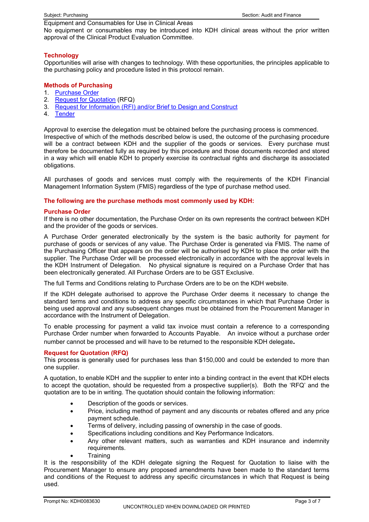Equipment and Consumables for Use in Clinical Areas No equipment or consumables may be introduced into KDH clinical areas without the prior written approval of the Clinical Product Evaluation Committee.

## **Technology**

Opportunities will arise with changes to technology. With these opportunities, the principles applicable to the purchasing policy and procedure listed in this protocol remain.

## **Methods of Purchasing**

- 1. [Purchase Order](file:///C:/Users/mdagge/AppData/Local/Microsoft/Windows/Temporary%20Internet%20Files/Content.Outlook/B8FUJJPK/Purchasing%20Protocol%20-%20Draft%20Feb%202015.doc%23purchaseorder)
- 2. [Request for Quotation](file:///C:/Users/mdagge/AppData/Local/Microsoft/Windows/Temporary%20Internet%20Files/Content.Outlook/B8FUJJPK/Purchasing%20Protocol%20-%20Draft%20Feb%202015.doc%23requestforquotation) (RFQ)
- 3. [Request for Information \(RFI\) and/or Brief to Design and Construct](file:///C:/Users/mdagge/AppData/Local/Microsoft/Windows/Temporary%20Internet%20Files/Content.Outlook/B8FUJJPK/Purchasing%20Protocol%20-%20Draft%20Feb%202015.doc%23requestforinfo)
- 4. [Tender](file:///C:/Users/mdagge/AppData/Local/Microsoft/Windows/Temporary%20Internet%20Files/Content.Outlook/B8FUJJPK/Purchasing%20Protocol%20-%20Draft%20Feb%202015.doc%23tender)

Approval to exercise the delegation must be obtained before the purchasing process is commenced. Irrespective of which of the methods described below is used, the outcome of the purchasing procedure will be a contract between KDH and the supplier of the goods or services. Every purchase must therefore be documented fully as required by this procedure and those documents recorded and stored in a way which will enable KDH to properly exercise its contractual rights and discharge its associated obligations.

All purchases of goods and services must comply with the requirements of the KDH Financial Management Information System (FMIS) regardless of the type of purchase method used.

#### **The following are the purchase methods most commonly used by KDH:**

#### **Purchase Order**

If there is no other documentation, the Purchase Order on its own represents the contract between KDH and the provider of the goods or services.

A Purchase Order generated electronically by the system is the basic authority for payment for purchase of goods or services of any value. The Purchase Order is generated via FMIS. The name of the Purchasing Officer that appears on the order will be authorised by KDH to place the order with the supplier. The Purchase Order will be processed electronically in accordance with the approval levels in the KDH Instrument of Delegation. No physical signature is required on a Purchase Order that has been electronically generated. All Purchase Orders are to be GST Exclusive.

The full Terms and Conditions relating to Purchase Orders are to be on the KDH website.

If the KDH delegate authorised to approve the Purchase Order deems it necessary to change the standard terms and conditions to address any specific circumstances in which that Purchase Order is being used approval and any subsequent changes must be obtained from the Procurement Manager in accordance with the Instrument of Delegation.

To enable processing for payment a valid tax invoice must contain a reference to a corresponding Purchase Order number when forwarded to Accounts Payable. An invoice without a purchase order number cannot be processed and will have to be returned to the responsible KDH delegate**.**

#### **Request for Quotation (RFQ)**

This process is generally used for purchases less than \$150,000 and could be extended to more than one supplier.

A quotation, to enable KDH and the supplier to enter into a binding contract in the event that KDH elects to accept the quotation, should be requested from a prospective supplier(s). Both the 'RFQ' and the quotation are to be in writing. The quotation should contain the following information:

- Description of the goods or services.
- Price, including method of payment and any discounts or rebates offered and any price payment schedule.
- Terms of delivery, including passing of ownership in the case of goods.
- Specifications including conditions and Key Performance Indicators.
- Any other relevant matters, such as warranties and KDH insurance and indemnity requirements.
- **Training**

It is the responsibility of the KDH delegate signing the Request for Quotation to liaise with the Procurement Manager to ensure any proposed amendments have been made to the standard terms and conditions of the Request to address any specific circumstances in which that Request is being used.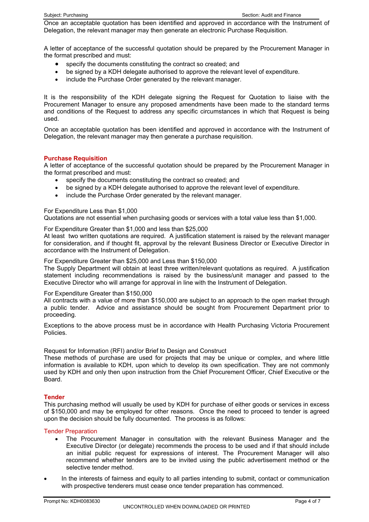Once an acceptable quotation has been identified and approved in accordance with the Instrument of Delegation, the relevant manager may then generate an electronic Purchase Requisition.

A letter of acceptance of the successful quotation should be prepared by the Procurement Manager in the format prescribed and must:

- specify the documents constituting the contract so created; and
- be signed by a KDH delegate authorised to approve the relevant level of expenditure.
- include the Purchase Order generated by the relevant manager.

It is the responsibility of the KDH delegate signing the Request for Quotation to liaise with the Procurement Manager to ensure any proposed amendments have been made to the standard terms and conditions of the Request to address any specific circumstances in which that Request is being used.

Once an acceptable quotation has been identified and approved in accordance with the Instrument of Delegation, the relevant manager may then generate a purchase requisition.

## **Purchase Requisition**

A letter of acceptance of the successful quotation should be prepared by the Procurement Manager in the format prescribed and must:

- specify the documents constituting the contract so created; and
- be signed by a KDH delegate authorised to approve the relevant level of expenditure.
- include the Purchase Order generated by the relevant manager.

#### For Expenditure Less than \$1,000

Quotations are not essential when purchasing goods or services with a total value less than \$1,000.

## For Expenditure Greater than \$1,000 and less than \$25,000

At least two written quotations are required. A justification statement is raised by the relevant manager for consideration, and if thought fit, approval by the relevant Business Director or Executive Director in accordance with the Instrument of Delegation.

#### For Expenditure Greater than \$25,000 and Less than \$150,000

The Supply Department will obtain at least three written/relevant quotations as required. A justification statement including recommendations is raised by the business/unit manager and passed to the Executive Director who will arrange for approval in line with the Instrument of Delegation.

#### For Expenditure Greater than \$150,000

All contracts with a value of more than \$150,000 are subject to an approach to the open market through a public tender. Advice and assistance should be sought from Procurement Department prior to proceeding.

Exceptions to the above process must be in accordance with Health Purchasing Victoria Procurement Policies.

#### Request for Information (RFI) and/or Brief to Design and Construct

These methods of purchase are used for projects that may be unique or complex, and where little information is available to KDH, upon which to develop its own specification. They are not commonly used by KDH and only then upon instruction from the Chief Procurement Officer, Chief Executive or the Board.

#### **Tender**

This purchasing method will usually be used by KDH for purchase of either goods or services in excess of \$150,000 and may be employed for other reasons. Once the need to proceed to tender is agreed upon the decision should be fully documented. The process is as follows:

#### Tender Preparation

- The Procurement Manager in consultation with the relevant Business Manager and the Executive Director (or delegate) recommends the process to be used and if that should include an initial public request for expressions of interest. The Procurement Manager will also recommend whether tenders are to be invited using the public advertisement method or the selective tender method.
- In the interests of fairness and equity to all parties intending to submit, contact or communication with prospective tenderers must cease once tender preparation has commenced.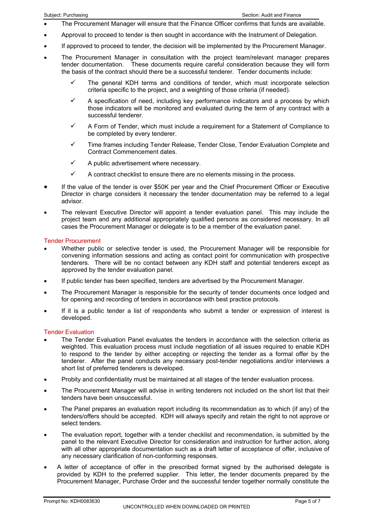- The Procurement Manager will ensure that the Finance Officer confirms that funds are available.
- Approval to proceed to tender is then sought in accordance with the Instrument of Delegation.
- If approved to proceed to tender, the decision will be implemented by the Procurement Manager.
- The Procurement Manager in consultation with the project team/relevant manager prepares tender documentation. These documents require careful consideration because they will form the basis of the contract should there be a successful tenderer. Tender documents include:
	- The general KDH terms and conditions of tender, which must incorporate selection criteria specific to the project, and a weighting of those criteria (if needed).
	- $\checkmark$  A specification of need, including key performance indicators and a process by which those indicators will be monitored and evaluated during the term of any contract with a successful tenderer.
	- $\checkmark$  A Form of Tender, which must include a requirement for a Statement of Compliance to be completed by every tenderer.
	- Time frames including Tender Release, Tender Close, Tender Evaluation Complete and Contract Commencement dates.
	- $\checkmark$  A public advertisement where necessary.
	- $\checkmark$  A contract checklist to ensure there are no elements missing in the process.
- If the value of the tender is over \$50K per year and the Chief Procurement Officer or Executive Director in charge considers it necessary the tender documentation may be referred to a legal advisor.
- The relevant Executive Director will appoint a tender evaluation panel. This may include the project team and any additional appropriately qualified persons as considered necessary. In all cases the Procurement Manager or delegate is to be a member of the evaluation panel.

## Tender Procurement

- Whether public or selective tender is used, the Procurement Manager will be responsible for convening information sessions and acting as contact point for communication with prospective tenderers. There will be no contact between any KDH staff and potential tenderers except as approved by the tender evaluation panel.
- If public tender has been specified, tenders are advertised by the Procurement Manager.
- The Procurement Manager is responsible for the security of tender documents once lodged and for opening and recording of tenders in accordance with best practice protocols.
- If it is a public tender a list of respondents who submit a tender or expression of interest is developed.

## Tender Evaluation

- The Tender Evaluation Panel evaluates the tenders in accordance with the selection criteria as weighted. This evaluation process must include negotiation of all issues required to enable KDH to respond to the tender by either accepting or rejecting the tender as a formal offer by the tenderer. After the panel conducts any necessary post-tender negotiations and/or interviews a short list of preferred tenderers is developed.
- Probity and confidentiality must be maintained at all stages of the tender evaluation process.
- The Procurement Manager will advise in writing tenderers not included on the short list that their tenders have been unsuccessful.
- The Panel prepares an evaluation report including its recommendation as to which (if any) of the tenders/offers should be accepted. KDH will always specify and retain the right to not approve or select tenders.
- The evaluation report, together with a tender checklist and recommendation, is submitted by the panel to the relevant Executive Director for consideration and instruction for further action, along with all other appropriate documentation such as a draft letter of acceptance of offer, inclusive of any necessary clarification of non-conforming responses.
- A letter of acceptance of offer in the prescribed format signed by the authorised delegate is provided by KDH to the preferred supplier. This letter, the tender documents prepared by the Procurement Manager, Purchase Order and the successful tender together normally constitute the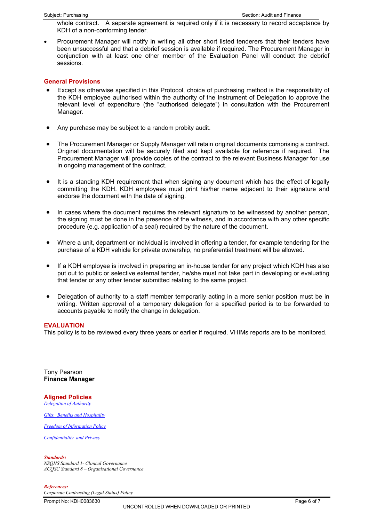whole contract. A separate agreement is required only if it is necessary to record acceptance by KDH of a non-conforming tender.

 Procurement Manager will notify in writing all other short listed tenderers that their tenders have been unsuccessful and that a debrief session is available if required. The Procurement Manager in conjunction with at least one other member of the Evaluation Panel will conduct the debrief sessions.

# **General Provisions**

- Except as otherwise specified in this Protocol, choice of purchasing method is the responsibility of the KDH employee authorised within the authority of the Instrument of Delegation to approve the relevant level of expenditure (the "authorised delegate") in consultation with the Procurement Manager.
- Any purchase may be subject to a random probity audit.
- The Procurement Manager or Supply Manager will retain original documents comprising a contract. Original documentation will be securely filed and kept available for reference if required. The Procurement Manager will provide copies of the contract to the relevant Business Manager for use in ongoing management of the contract.
- It is a standing KDH requirement that when signing any document which has the effect of legally committing the KDH. KDH employees must print his/her name adjacent to their signature and endorse the document with the date of signing.
- In cases where the document requires the relevant signature to be witnessed by another person, the signing must be done in the presence of the witness, and in accordance with any other specific procedure (e.g. application of a seal) required by the nature of the document.
- Where a unit, department or individual is involved in offering a tender, for example tendering for the purchase of a KDH vehicle for private ownership, no preferential treatment will be allowed.
- If a KDH employee is involved in preparing an in-house tender for any project which KDH has also put out to public or selective external tender, he/she must not take part in developing or evaluating that tender or any other tender submitted relating to the same project.
- Delegation of authority to a staff member temporarily acting in a more senior position must be in writing. Written approval of a temporary delegation for a specified period is to be forwarded to accounts payable to notify the change in delegation.

## **EVALUATION**

This policy is to be reviewed every three years or earlier if required. VHIMs reports are to be monitored.

Tony Pearson **Finance Manager**

**Aligned Policies** *[Delegation of Authority](https://system.prompt.org.au/download/document.aspx?id=24667982&code=0A9EAFB6A5A18F6B69CF18049CDDC8B0)*

*[Gifts, Benefits and Hospitality](https://system.prompt.org.au/download/document.aspx?id=29807172&code=1A0EE88F51EF03DD68AB4EAF2E6BA5F9)*

*[Freedom of Information Policy](https://system.prompt.org.au/download/document.aspx?id=28782487&code=CA8DBA7DE6AF6C1CAD271D23647178C5)*

*[Confidentiality and Privacy](https://system.prompt.org.au/download/document.aspx?id=20355960&code=1856B9D0A77B5A8C31927211C691F8B2)*

*Standards:* 

*NSQHS Standard 1- Clinical Governance ACQSC Standard 8 – Organisational Governance*

*References: Corporate Contracting (Legal Status) Policy*

Prompt No: KDH0083630 Page 6 of 7